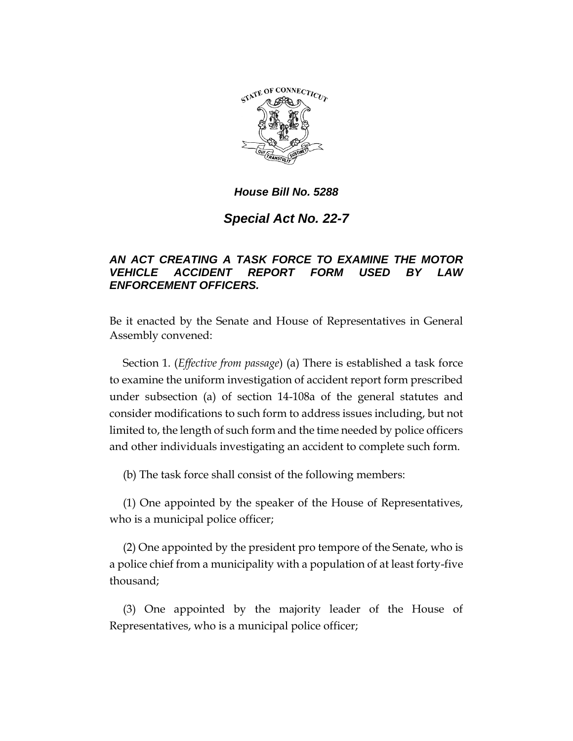

### *House Bill No. 5288*

# *Special Act No. 22-7*

## *AN ACT CREATING A TASK FORCE TO EXAMINE THE MOTOR VEHICLE ACCIDENT REPORT FORM USED BY LAW ENFORCEMENT OFFICERS.*

Be it enacted by the Senate and House of Representatives in General Assembly convened:

Section 1. (*Effective from passage*) (a) There is established a task force to examine the uniform investigation of accident report form prescribed under subsection (a) of section 14-108a of the general statutes and consider modifications to such form to address issues including, but not limited to, the length of such form and the time needed by police officers and other individuals investigating an accident to complete such form.

(b) The task force shall consist of the following members:

(1) One appointed by the speaker of the House of Representatives, who is a municipal police officer;

(2) One appointed by the president pro tempore of the Senate, who is a police chief from a municipality with a population of at least forty-five thousand;

(3) One appointed by the majority leader of the House of Representatives, who is a municipal police officer;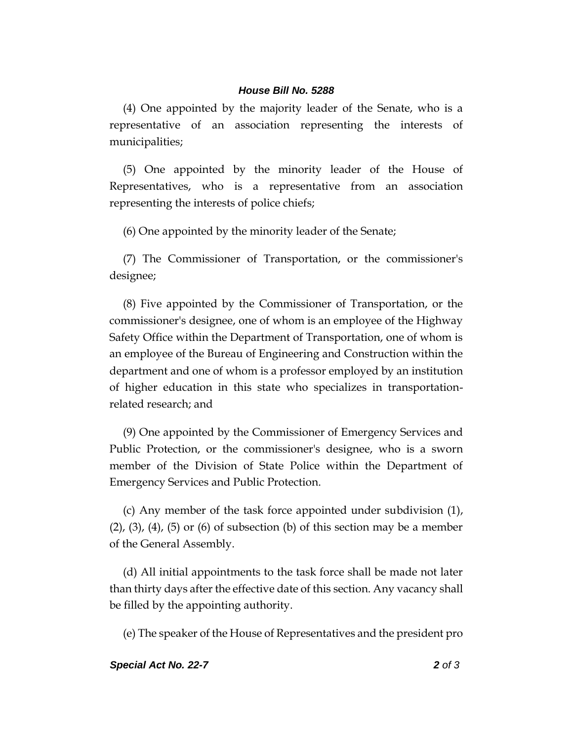#### *House Bill No. 5288*

(4) One appointed by the majority leader of the Senate, who is a representative of an association representing the interests of municipalities;

(5) One appointed by the minority leader of the House of Representatives, who is a representative from an association representing the interests of police chiefs;

(6) One appointed by the minority leader of the Senate;

(7) The Commissioner of Transportation, or the commissioner's designee;

(8) Five appointed by the Commissioner of Transportation, or the commissioner's designee, one of whom is an employee of the Highway Safety Office within the Department of Transportation, one of whom is an employee of the Bureau of Engineering and Construction within the department and one of whom is a professor employed by an institution of higher education in this state who specializes in transportationrelated research; and

(9) One appointed by the Commissioner of Emergency Services and Public Protection, or the commissioner's designee, who is a sworn member of the Division of State Police within the Department of Emergency Services and Public Protection.

(c) Any member of the task force appointed under subdivision (1),  $(2)$ ,  $(3)$ ,  $(4)$ ,  $(5)$  or  $(6)$  of subsection  $(b)$  of this section may be a member of the General Assembly.

(d) All initial appointments to the task force shall be made not later than thirty days after the effective date of this section. Any vacancy shall be filled by the appointing authority.

(e) The speaker of the House of Representatives and the president pro